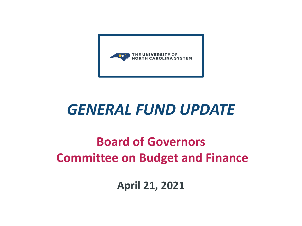

## *GENERAL FUND UPDATE*

#### **Board of Governors Committee on Budget and Finance**

**April 21, 2021**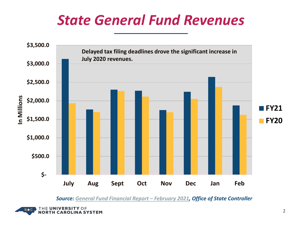### *State General Fund Revenues*



*Source: [General Fund Financial Report –](https://files.nc.gov/ncosc/documents/files/GFMR/2021/Feb_2021_Gen_Fund_Monthly_Report.pdf) February 2021, Office of State Controller*

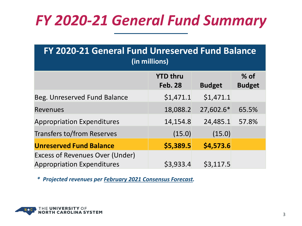# *FY 2020-21 General Fund Summary*

| FY 2020-21 General Fund Unreserved Fund Balance<br>(in millions)            |                                   |               |               |  |  |
|-----------------------------------------------------------------------------|-----------------------------------|---------------|---------------|--|--|
|                                                                             | <b>YTD thru</b><br><b>Feb. 28</b> |               | $%$ of        |  |  |
|                                                                             |                                   | <b>Budget</b> | <b>Budget</b> |  |  |
| Beg. Unreserved Fund Balance                                                | \$1,471.1                         | \$1,471.1     |               |  |  |
| <b>Revenues</b>                                                             | 18,088.2                          | 27,602.6*     | 65.5%         |  |  |
| <b>Appropriation Expenditures</b>                                           | 14,154.8                          | 24,485.1      | 57.8%         |  |  |
| <b>Transfers to/from Reserves</b>                                           | (15.0)                            | (15.0)        |               |  |  |
| <b>Unreserved Fund Balance</b>                                              | \$5,389.5                         | \$4,573.6     |               |  |  |
| <b>Excess of Revenues Over (Under)</b><br><b>Appropriation Expenditures</b> | \$3,933.4                         | \$3,117.5     |               |  |  |

*\* Projected revenues per [February 2021 Consensus Forecast.](http://speakermoore.com/wp-content/uploads/2021/02/Consensus-Revenue-Report-Feb-11-2020.pdf?ac_cid=DM384393&ac_bid=-564624941)*

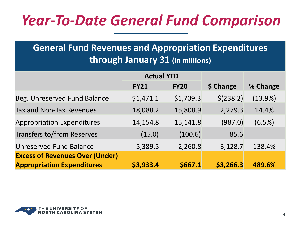# *Year-To-Date General Fund Comparison*

#### **General Fund Revenues and Appropriation Expenditures through January 31 (in millions)**

|                                        | <b>Actual YTD</b> |             |           |            |
|----------------------------------------|-------------------|-------------|-----------|------------|
|                                        | <b>FY21</b>       | <b>FY20</b> | \$ Change | % Change   |
| Beg. Unreserved Fund Balance           | \$1,471.1         | \$1,709.3   | \$(238.2) | $(13.9\%)$ |
| Tax and Non-Tax Revenues               | 18,088.2          | 15,808.9    | 2,279.3   | 14.4%      |
| <b>Appropriation Expenditures</b>      | 14,154.8          | 15,141.8    | (987.0)   | (6.5%)     |
| <b>Transfers to/from Reserves</b>      | (15.0)            | (100.6)     | 85.6      |            |
| <b>Unreserved Fund Balance</b>         | 5,389.5           | 2,260.8     | 3,128.7   | 138.4%     |
| <b>Excess of Revenues Over (Under)</b> |                   |             |           |            |
| <b>Appropriation Expenditures</b>      | \$3,933.4         | \$667.1     | \$3,266.3 | 489.6%     |

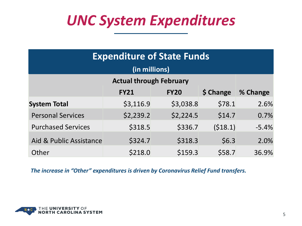## *UNC System Expenditures*

| <b>Expenditure of State Funds</b>                   |           |           |         |         |  |  |
|-----------------------------------------------------|-----------|-----------|---------|---------|--|--|
| (in millions)                                       |           |           |         |         |  |  |
| <b>Actual through February</b>                      |           |           |         |         |  |  |
| \$ Change<br>% Change<br><b>FY20</b><br><b>FY21</b> |           |           |         |         |  |  |
| <b>System Total</b>                                 | \$3,116.9 | \$3,038.8 | \$78.1  | 2.6%    |  |  |
| <b>Personal Services</b>                            | \$2,239.2 | \$2,224.5 | \$14.7  | 0.7%    |  |  |
| <b>Purchased Services</b>                           | \$318.5   | \$336.7   | (518.1) | $-5.4%$ |  |  |
| Aid & Public Assistance                             | \$324.7   | \$318.3   | \$6.3   | 2.0%    |  |  |
| Other                                               | \$218.0   | \$159.3   | \$58.7  | 36.9%   |  |  |

*The increase in "Other" expenditures is driven by Coronavirus Relief Fund transfers.* 

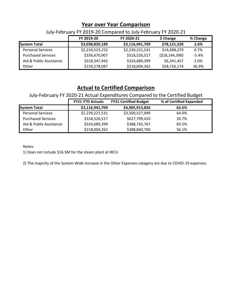#### **Year over Year Comparison**

July-February FY 2019-20 Compared to July-February FY 2020-21

|                           | FY 2019-20      | FY 2020-21      | \$ Change         | % Change |
|---------------------------|-----------------|-----------------|-------------------|----------|
| <b>System Total</b>       | \$3,038,820,189 | \$3,116,941,709 | \$78,121,520      | 2.6%     |
| <b>Personal Services</b>  | \$2,224,523,252 | \$2,239,221,531 | \$14,698,279      | 0.7%     |
| <b>Purchased Services</b> | \$336,670,907   | \$318,526,517   | ( \$18, 144, 390) | $-5.4\%$ |
| Aid & Public Assistance   | \$318,347,942   | \$324,689,399   | \$6,341,457       | 2.0%     |
| Other                     | \$159,278,087   | \$218,004,262   | \$58,726,174      | 36.9%    |

#### **Actual to Certified Comparison**

July-February FY 2020-21 Actual Expenditures Compared to the Certified Budget

|                           | <b>FY21 YTD Actuals</b> | <b>FY21 Certified Budget</b> | % of Certified Expended |
|---------------------------|-------------------------|------------------------------|-------------------------|
| <b>System Total</b>       | \$3,116,941,709         | \$4,905,913,826              | 63.5%                   |
| <b>Personal Services</b>  | \$2,239,221,531         | \$3,500,527,949              | 64.0%                   |
| <b>Purchased Services</b> | \$318,526,517           | \$627,799,410                | 50.7%                   |
| Aid & Public Assistance   | \$324,689,399           | \$388,745,767                | 83.5%                   |
| Other                     | \$218,004,262           | \$388,840,700                | 56.1%                   |

Notes:

1) Does not include \$16.5M for the steam plant at WCU

2) The majority of the System-Wide increase in the Other Expenses category are due to COVID-19 expenses.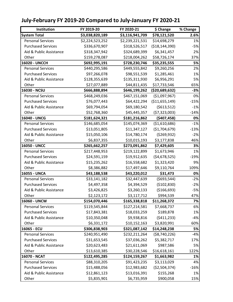| Institution               | FY 2019-20      | FY 2020-21      | \$ Change         | % Change |
|---------------------------|-----------------|-----------------|-------------------|----------|
| <b>System Total</b>       | \$3,038,820,189 | \$3,116,941,709 | \$78,121,520      | 2.6%     |
| <b>Personal Services</b>  | \$2,224,523,252 | \$2,239,221,531 | \$14,698,279      | 1%       |
| <b>Purchased Services</b> | \$336,670,907   | \$318,526,517   | ( \$18, 144, 390) | $-5%$    |
| Aid & Public Assistance   | \$318,347,942   | \$324,689,399   | \$6,341,457       | 2%       |
| Other                     | \$159,278,087   | \$218,004,262   | \$58,726,174      | 37%      |
| 16020 - UNCCH             | \$692,995,191   | \$728,230,746   | \$35,235,555      | 5%       |
| <b>Personal Services</b>  | \$440,295,586   | \$449,555,842   | \$9,260,256       | 2%       |
| <b>Purchased Services</b> | \$97,266,078    | \$98,551,539    | \$1,285,461       | 1%       |
| Aid & Public Assistance   | \$128,355,639   | \$135,311,930   | \$6,956,291       | 5%       |
| Other                     | \$27,077,889    | \$44,811,435    | \$17,733,546      | 65%      |
| 16030 - NCSU              | \$666,888,894   | \$646,199,262   | (\$20,689,632)    | $-3%$    |
| <b>Personal Services</b>  | \$468,249,036   | \$467,151,069   | ( \$1,097,967)    | 0%       |
| <b>Purchased Services</b> | \$76,077,443    | \$64,422,294    | (\$11,655,149)    | $-15%$   |
| Aid & Public Assistance   | \$69,794,054    | \$69,180,542    | ( \$613, 512)     | $-1%$    |
| Other                     | \$52,768,360    | \$45,445,357    | (57, 323, 003)    | $-14%$   |
| 16040 - UNCG              | \$181,624,321   | \$181,216,862   | ( \$407, 458]     | 0%       |
| <b>Personal Services</b>  | \$146,685,054   | \$145,074,369   | ( \$1,610,686)    | $-1%$    |
| <b>Purchased Services</b> | \$13,051,805    | \$11,347,127    | (\$1,704,679)     | $-13%$   |
| Aid & Public Assistance   | \$15,050,106    | \$14,780,174    | ( \$269, 932)     | $-2%$    |
| Other                     | \$6,837,355     | \$10,015,193    | \$3,177,838       | 46%      |
| 16050 - UNCC              | \$265,662,257   | \$273,091,862   | \$7,429,605       | 3%       |
| <b>Personal Services</b>  | \$217,448,953   | \$219,122,899   | \$1,673,946       | 1%       |
| <b>Purchased Services</b> | \$24,591,159    | \$19,912,635    | (54, 678, 525)    | $-19%$   |
| Aid & Public Assistance   | \$15,235,262    | \$16,558,682    | \$1,323,420       | 9%       |
| Other                     | \$8,386,882     | \$17,497,646    | \$9,110,764       | 109%     |
| 16055 - UNCA              | \$43,188,538    | \$43,220,012    | \$31,473          | 0%       |
| <b>Personal Services</b>  | \$33,141,182    | \$32,447,639    | (5693,544)        | $-2%$    |
| <b>Purchased Services</b> | \$4,497,358     | \$4,394,529     | (\$102,830)       | $-2%$    |
| Aid & Public Assistance   | \$3,426,825     | \$3,260,133     | (\$166,693)       | $-5%$    |
| Other                     | \$2,123,172     | \$3,117,712     | \$994,539         | 47%      |
| 16060 - UNCW              | \$154,070,446   | \$165,338,818   | \$11,268,372      | 7%       |
| <b>Personal Services</b>  | \$119,545,844   | \$127,214,581   | \$7,668,737       | 6%       |
| <b>Purchased Services</b> | \$17,843,381    | \$18,033,259    | \$189,878         | 1%       |
| Aid & Public Assistance   | \$10,350,048    | \$9,938,816     | (5411, 233)       | $-4%$    |
| Other                     | \$6,331,172     | \$10,152,163    | \$3,820,991       | 60%      |
| 16065 - ECU               | \$306,838,903   | \$321,087,142   | \$14,248,238      | 5%       |
| <b>Personal Services</b>  | \$240,951,490   | \$232,211,264   | ( \$8,740,226)    | $-4%$    |
| <b>Purchased Services</b> | \$31,653,545    | \$37,036,262    | \$5,382,717       | 17%      |
| Aid & Public Assistance   | \$20,623,483    | \$21,611,069    | \$987,586         | 5%       |
| Other                     | \$13,610,385    | \$30,228,546    | \$16,618,161      | 122%     |
| 16070 - NCAT              | \$122,495,285   | \$124,159,267   | \$1,663,982       | 1%       |
| <b>Personal Services</b>  | \$88,310,205    | \$91,423,235    | \$3,113,029       | 4%       |
| <b>Purchased Services</b> | \$15,488,056    | \$12,983,682    | ( \$2,504,374)    | $-16%$   |
| Aid & Public Assistance   | \$12,861,123    | \$13,016,391    | \$155,268         | 1%       |
| Other                     | \$5,835,901     | \$6,735,959     | \$900,058         | 15%      |

#### **July-February FY 2019-20 Compared to July-January FY 2020-21**